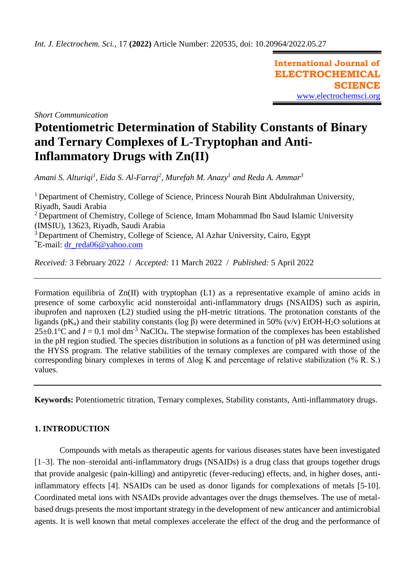**International Journal of ELECTROCHEMICAL SCIENCE** [www.electrochemsci.org](http://www.electrochemsci.org/)

*Short Communication*

# **Potentiometric Determination of Stability Constants of Binary and Ternary Complexes of L-Tryptophan and Anti-Inflammatory Drugs with Zn(II)**

*Amani S. Alturiqi<sup>1</sup> , Eida S. Al-Farraj<sup>2</sup> , Murefah M. Anazy<sup>1</sup> and Reda A. Ammar<sup>3</sup>*

<sup>1</sup> Department of Chemistry, College of Science, Princess Nourah Bint Abdulrahman University, Riyadh, Saudi Arabia <sup>2</sup> Department of Chemistry, College of Science, Imam Mohammad Ibn Saud Islamic University (IMSIU), 13623, Riyadh, Saudi Arabia <sup>3</sup> Department of Chemistry, College of Science, Al Azhar University, Cairo, Egypt  $E$ -mail: [dr\\_reda06@yahoo.com](mailto:dr_reda06@yahoo.com)

*Received:* 3 February 2022/ *Accepted:* 11 March 2022 / *Published:* 5 April 2022

Formation equilibria of Zn(II) with tryptophan (L1) as a representative example of amino acids in presence of some carboxylic acid nonsteroidal anti-inflammatory drugs (NSAIDS) such as aspirin, ibuprofen and naproxen (L2) studied using the pH-metric titrations. The protonation constants of the ligands (pK<sub>a</sub>) and their stability constants (log β) were determined in 50% (v/v) EtOH-H<sub>2</sub>O solutions at  $25\pm0.1^{\circ}\text{C}$  and  $I = 0.1$  mol dm<sup>-3</sup> NaClO<sub>4</sub>. The stepwise formation of the complexes has been established in the pH region studied. The species distribution in solutions as a function of pH was determined using the HYSS program. The relative stabilities of the ternary complexes are compared with those of the corresponding binary complexes in terms of Δlog K and percentage of relative stabilization (% R. S.) values.

**Keywords:** Potentiometric titration, Ternary complexes, Stability constants, Anti-inflammatory drugs.

## **1. INTRODUCTION**

Compounds with metals as therapeutic agents for various diseases states have been investigated [1–3]. The non–steroidal anti-inflammatory drugs (NSAIDs) is a drug class that groups together drugs that provide analgesic (pain-killing) and antipyretic (fever-reducing) effects, and, in higher doses, antiinflammatory effects [4]. NSAIDs can be used as donor ligands for complexations of metals [5-10]. Coordinated metal ions with NSAIDs provide advantages over the drugs themselves. The use of metalbased drugs presents the most important strategy in the development of new anticancer and antimicrobial agents. It is well known that metal complexes accelerate the effect of the drug and the performance of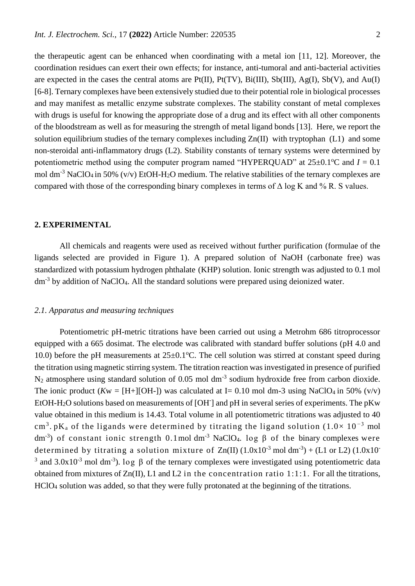the therapeutic agent can be enhanced when coordinating with a metal ion [11, 12]. Moreover, the coordination residues can exert their own effects; for instance, anti-tumoral and anti-bacterial activities are expected in the cases the central atoms are  $Pt(II)$ ,  $Pt(TV)$ ,  $Bi(III)$ ,  $Sb(III)$ ,  $Ag(I)$ ,  $Sb(V)$ , and  $Au(I)$ [6-8]. Ternary complexes have been extensively studied due to their potential role in biological processes and may manifest as metallic enzyme substrate complexes. The stability constant of metal complexes with drugs is useful for knowing the appropriate dose of a drug and its effect with all other components of the bloodstream as well as for measuring the strength of metal ligand bonds [13]. Here, we report the solution equilibrium studies of the ternary complexes including  $Zn(II)$  with tryptophan (L1) and some non-steroidal anti-inflammatory drugs (L2). Stability constants of ternary systems were determined by potentiometric method using the computer program named "HYPERQUAD" at  $25\pm0.1^{\circ}\text{C}$  and  $I = 0.1$ mol dm<sup>-3</sup> NaClO<sub>4</sub> in 50% (v/v) EtOH-H<sub>2</sub>O medium. The relative stabilities of the ternary complexes are compared with those of the corresponding binary complexes in terms of  $\Delta \log K$  and % R. S values.

#### **2. EXPERIMENTAL**

All chemicals and reagents were used as received without further purification (formulae of the ligands selected are provided in Figure 1). A prepared solution of NaOH (carbonate free) was standardized with potassium hydrogen phthalate (KHP) solution. Ionic strength was adjusted to 0.1 mol dm<sup>-3</sup> by addition of NaClO<sub>4</sub>. All the standard solutions were prepared using deionized water.

#### *2.1. Apparatus and measuring techniques*

Potentiometric pH-metric titrations have been carried out using a Metrohm 686 titroprocessor equipped with a 665 dosimat. The electrode was calibrated with standard buffer solutions (pH 4.0 and 10.0) before the pH measurements at  $25\pm0.1^{\circ}$ C. The cell solution was stirred at constant speed during the titration using magnetic stirring system. The titration reaction was investigated in presence of purified  $N_2$  atmosphere using standard solution of 0.05 mol dm<sup>-3</sup> sodium hydroxide free from carbon dioxide. The ionic product  $(Kw = [H+][OH-])$  was calculated at I= 0.10 mol dm-3 using NaClO<sub>4</sub> in 50% (v/v) EtOH-H<sub>2</sub>O solutions based on measurements of [OH<sup>-</sup>] and pH in several series of experiments. The pKw value obtained in this medium is 14.43. Total volume in all potentiometric titrations was adjusted to 40 cm<sup>3</sup>. pK<sub>a</sub> of the ligands were determined by titrating the ligand solution (1.0×10<sup>-3</sup> mol dm<sup>-3</sup>) of constant ionic strength 0.1mol dm<sup>-3</sup> NaClO<sub>4</sub>. log β of the binary complexes were determined by titrating a solution mixture of  $Zn(II)$  (1.0x10<sup>-3</sup> mol dm<sup>-3</sup>) + (L1 or L2) (1.0x10<sup>-3</sup> <sup>3</sup> and 3.0x10<sup>-3</sup> mol dm<sup>-3</sup>). log β of the ternary complexes were investigated using potentiometric data obtained from mixtures of Zn(II), L1 and L2 in the concentration ratio 1:1:1. For all the titrations, HClO<sup>4</sup> solution was added, so that they were fully protonated at the beginning of the titrations.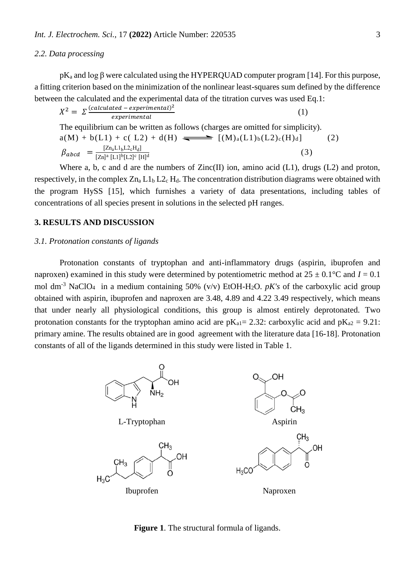#### *2.2. Data processing*

 $pK_a$  and log  $\beta$  were calculated using the HYPERQUAD computer program [14]. For this purpose, a fitting criterion based on the minimization of the nonlinear least-squares sum defined by the difference between the calculated and the experimental data of the titration curves was used Eq.1:

$$
X^{2} = \sum \frac{(calculated - experimental)^{2}}{experimental}
$$
 (1)  
The equilibrium can be written as follows (obsrose are omitted for simplicity)

The equilibrium can be written as follows (charges are omitted for simplicity).  
\n
$$
a(M) + b(L1) + c(L2) + d(H) \longrightarrow [(M)_a(L1)_b(L2)_c(H)_d]
$$
\n
$$
\beta_{abcd} = \frac{[Zn_aL1_bL2_cH_d]}{[Zn]^a [L1]^b [L2]^c [H]^d}
$$
\n(3)

Where a, b, c and d are the numbers of Zinc(II) ion, amino acid (L1), drugs (L2) and proton, respectively, in the complex  $Zn_a L1_b L2_c H_d$ . The concentration distribution diagrams were obtained with the program HySS [15], which furnishes a variety of data presentations, including tables of concentrations of all species present in solutions in the selected pH ranges.

### **3. RESULTS AND DISCUSSION**

#### *3.1. Protonation constants of ligands*

Protonation constants of tryptophan and anti-inflammatory drugs (aspirin, ibuprofen and naproxen) examined in this study were determined by potentiometric method at  $25 \pm 0.1$ °C and  $I = 0.1$ mol dm<sup>-3</sup> NaClO<sub>4</sub> in a medium containing 50% (v/v) EtOH-H<sub>2</sub>O. *pK's* of the carboxylic acid group obtained with aspirin, ibuprofen and naproxen are 3.48, 4.89 and 4.22 3.49 respectively, which means that under nearly all physiological conditions, this group is almost entirely deprotonated. Two protonation constants for the tryptophan amino acid are  $pK_{a1}= 2.32$ : carboxylic acid and  $pK_{a2}= 9.21$ : primary amine. The results obtained are in good agreement with the literature data [16-18]. Protonation constants of all of the ligands determined in this study were listed in Table 1.



**Figure 1**. The structural formula of ligands.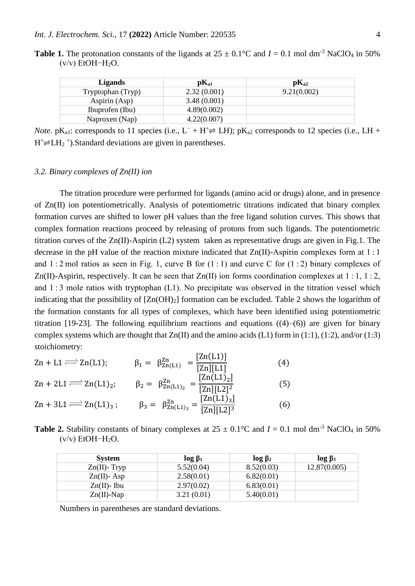| <b>Table 1.</b> The protonation constants of the ligands at $25 \pm 0.1^{\circ}\text{C}$ and $I = 0.1$ mol dm <sup>-3</sup> NaClO <sub>4</sub> in 50% |  |  |  |  |
|-------------------------------------------------------------------------------------------------------------------------------------------------------|--|--|--|--|
| $(v/v)$ EtOH-H <sub>2</sub> O.                                                                                                                        |  |  |  |  |

| <b>Ligands</b>    | $\mathbf{pK}_{a1}$ | $\mathbf{pK}_{a2}$ |
|-------------------|--------------------|--------------------|
| Tryptophan (Tryp) | 2.32(0.001)        | 9.21(0.002)        |
| Aspirin (Asp)     | 3.48(0.001)        |                    |
| Ibuprofen (Ibu)   | 4.89(0.002)        |                    |
| Naproxen (Nap)    | 4.22(0.007)        |                    |
|                   |                    |                    |

*Note.* pK<sub>a1</sub>: corresponds to 11 species (i.e.,  $L^- + H^+ \rightleftharpoons LH$ ); pK<sub>a2</sub> corresponds to 12 species (i.e., LH +  $H^+\rightleftharpoons LH_2^+$ ).Standard deviations are given in parentheses.

#### *3.2. Binary complexes of Zn(II) ion*

The titration procedure were performed for ligands (amino acid or drugs) alone, and in presence of Zn(II) ion potentiometrically. Analysis of potentiometric titrations indicated that binary complex formation curves are shifted to lower pH values than the free ligand solution curves. This shows that complex formation reactions proceed by releasing of protons from such ligands. The potentiometric titration curves of the Zn(II)-Aspirin (L2) system taken as representative drugs are given in Fig.1. The decrease in the pH value of the reaction mixture indicated that Zn(II)-Aspirin complexes form at 1 : 1 and 1 $:2$  mol ratios as seen in Fig. 1, curve B for  $(1:1)$  and curve C for  $(1:2)$  binary complexes of Zn(II)-Aspirin, respectively. It can be seen that  $Zn(II)$  ion forms coordination complexes at 1 : 1, 1 : 2, and 1 : 3 mole ratios with tryptophan (L1). No precipitate was observed in the titration vessel which indicating that the possibility of  $[Zn(OH)_2]$  formation can be excluded. Table 2 shows the logarithm of the formation constants for all types of complexes, which have been identified using potentiometric titration [19-23]. The following equilibrium reactions and equations  $((4)–(6))$  are given for binary complex systems which are thought that  $Zn(II)$  and the amino acids (L1) form in (1:1), (1:2), and/or (1:3) stoichiometry:

$$
Zn + L1 \Longrightarrow Zn(L1); \qquad \beta_1 = \beta_{Zn(L1)}^{Zn} = \frac{[Zn(L1)]}{[Zn][L1]} \tag{4}
$$
\n
$$
Zn + 2L1 \Longrightarrow Zn(L1)_2; \qquad \beta_2 = \beta_{Zn(L1)_2}^{Zn} = \frac{[Zn(L1)_2]}{[Zn][L2]^2} \tag{5}
$$
\n
$$
Zn + 3L1 \Longrightarrow Zn(L1)_3; \qquad \beta_3 = \beta_{Zn(L1)_3}^{Zn} = \frac{[Zn(L1)_3]}{[Zn][L2]^3} \tag{6}
$$

**Table 2.** Stability constants of binary complexes at  $25 \pm 0.1^{\circ}\text{C}$  and  $I = 0.1$  mol dm<sup>-3</sup> NaClO<sub>4</sub> in 50%  $(v/v)$  EtOH-H<sub>2</sub>O.

| <b>System</b>   | $\log \beta_1$ | $log_{2}$  | $\log \beta_3$ |
|-----------------|----------------|------------|----------------|
| $Zn(II)$ - Tryp | 5.52(0.04)     | 8.52(0.03) | 12.87(0.005)   |
| $Zn(II)$ - Asp  | 2.58(0.01)     | 6.82(0.01) |                |
| $Zn(II)$ - Ibu  | 2.97(0.02)     | 6.83(0.01) |                |
| $Zn(II)$ -Nap   | 3.21(0.01)     | 5.40(0.01) |                |

Numbers in parentheses are standard deviations.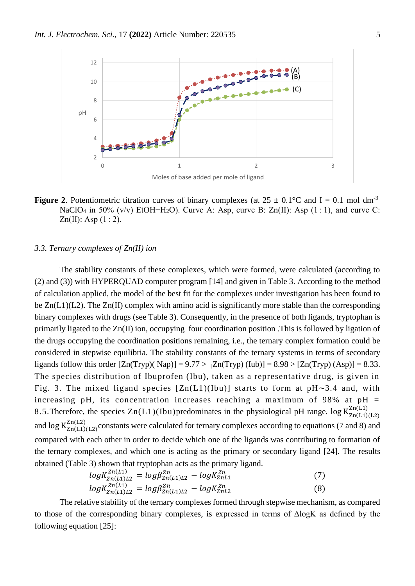

**Figure 2.** Potentiometric titration curves of binary complexes (at  $25 \pm 0.1$ °C and I = 0.1 mol dm<sup>-3</sup> NaClO<sub>4</sub> in 50% (v/v) EtOH−H<sub>2</sub>O). Curve A: Asp, curve B: Zn(II): Asp (1:1), and curve C:  $Zn(II)$ : Asp  $(1:2)$ .

#### *3.3. Ternary complexes of Zn(II) ion*

The stability constants of these complexes, which were formed, were calculated (according to [\(2\)](https://www.ncbi.nlm.nih.gov/pmc/articles/PMC4710965/#EEq1) and [\(3\)](https://www.ncbi.nlm.nih.gov/pmc/articles/PMC4710965/#EEq2)) with HYPERQUAD computer program [14] and given in [Table 3.](https://www.ncbi.nlm.nih.gov/pmc/articles/PMC4710965/table/tab2/) According to the method of calculation applied, the model of the best fit for the complexes under investigation has been found to be  $Zn(L1)(L2)$ . The  $Zn(\Pi)$  complex with amino acid is significantly more stable than the corresponding binary complexes with drugs (see Table 3). Consequently, in the presence of both ligands, tryptophan is primarily ligated to the Zn(II) ion, occupying four coordination position .This is followed by ligation of the drugs occupying the coordination positions remaining, i.e., the ternary complex formation could be considered in stepwise equilibria. The stability constants of the ternary systems in terms of secondary ligands follow this order  $[Zn(Tryp)(Nap)] = 9.77 > 7Zn(Tryp)(Iub)] = 8.98 > 7Zn(Tryp)(Asp) = 8.33$ . The species distribution of Ibuprofen (Ibu), taken as a representative drug, is given in Fig. 3. The mixed ligand species  $[Zn(L1)(Ibu)]$  starts to form at  $pH \sim 3.4$  and, with increasing pH, its concentration increases reaching a maximum of 98% at  $pH =$ 8.5. Therefore, the species  $Zn(L1)(Ibu)$  predominates in the physiological pH range. log  $K_{Zn(L1)(L2)}^{Zn(L1)}$ and  $\log K_{\rm Zn(L1)(L2)}^{\rm Zn(L2)}$ constants were calculated for ternary complexes according to equations (7 and 8) and compared with each other in order to decide which one of the ligands was contributing to formation of the ternary complexes, and which one is acting as the primary or secondary ligand [24]. The results obtained (Table 3) shown that tryptophan acts as the primary ligand.

$$
log K_{Zn(L1)L2}^{Zn(L1)} = log \beta_{Zn(L1)L2}^{Zn} - log K_{ZnL1}^{Zn}
$$
\n(7)

$$
log K_{Zn(L1)L2}^{Zn(L1)} = log \beta_{Zn(L1)L2}^{Zn} - log K_{ZnL2}^{Zn}
$$
\n(8)

The relative stability of the ternary complexes formed through stepwise mechanism, as compared to those of the corresponding binary complexes, is expressed in terms of ΔlogK as defined by the following equation [25]: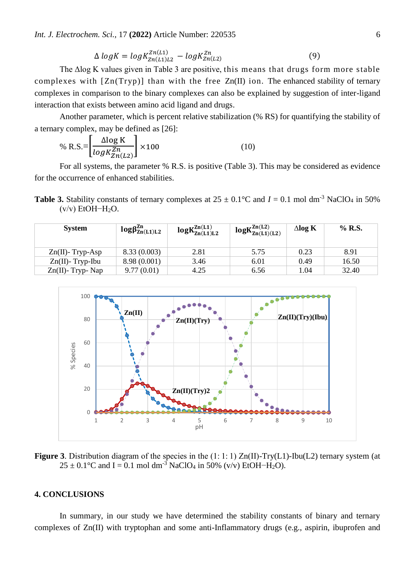*Int. J. Electrochem. Sci.,* 17 **(2022)** Article Number: 220535 6

$$
\Delta \log K = \log K_{Zn(L1)L2}^{Zn(L1)} - \log K_{Zn(L2)}^{Zn} \tag{9}
$$

The Δlog K values given in Table 3 are positive, this means that drugs form more stable complexes with [Zn(Tryp)] than with the free Zn(II) ion. The enhanced stability of ternary complexes in comparison to the binary complexes can also be explained by suggestion of inter-ligand interaction that exists between amino acid ligand and drugs.

Another parameter, which is percent relative stabilization (% RS) for quantifying the stability of a ternary complex, may be defined as [26]:

% R.S.=
$$
\left[\frac{\Delta \log K}{\log K_{Zn(L2)}^{Zn}}\right] \times 100\tag{10}
$$

For all systems, the parameter % R.S. is positive (Table 3). This may be considered as evidence for the occurrence of enhanced stabilities.

**Table 3.** Stability constants of ternary complexes at  $25 \pm 0.1^{\circ}\text{C}$  and  $I = 0.1$  mol dm<sup>-3</sup> NaClO<sub>4</sub> in 50% (v/v) EtOH−H2O.

| <b>System</b>        | $log\beta_{\text{Zn(L1)L2}}^{\text{Zn}}$ | $logK_{Zn(L1)L2}^{Zn(L1)}$ | $logK_{Zn(L1)(L2)}^{Zn(L2)}$ | $\Delta$ log K | $\%$ R.S. |
|----------------------|------------------------------------------|----------------------------|------------------------------|----------------|-----------|
| $Zn(II)$ - Tryp-Asp  | 8.33(0.003)                              | 2.81                       | 5.75                         | 0.23           | 8.91      |
| $Zn(II)$ - Tryp-Ibu  | 8.98 (0.001)                             | 3.46                       | 6.01                         | 0.49           | 16.50     |
| $Zn(II)$ - Tryp- Nap | 9.77(0.01)                               | 4.25                       | 6.56                         | 1.04           | 32.40     |



**Figure 3**. Distribution diagram of the species in the (1:1:1) Zn(II)-Try(L1)-Ibu(L2) ternary system (at  $25 \pm 0.1$ °C and I = 0.1 mol dm<sup>-3</sup> NaClO<sub>4</sub> in 50% (v/v) EtOH-H<sub>2</sub>O).

## **4. CONCLUSIONS**

In summary, in our study we have determined the stability constants of binary and ternary complexes of Zn(II) with tryptophan and some anti-Inflammatory drugs (e.g., aspirin, ibuprofen and